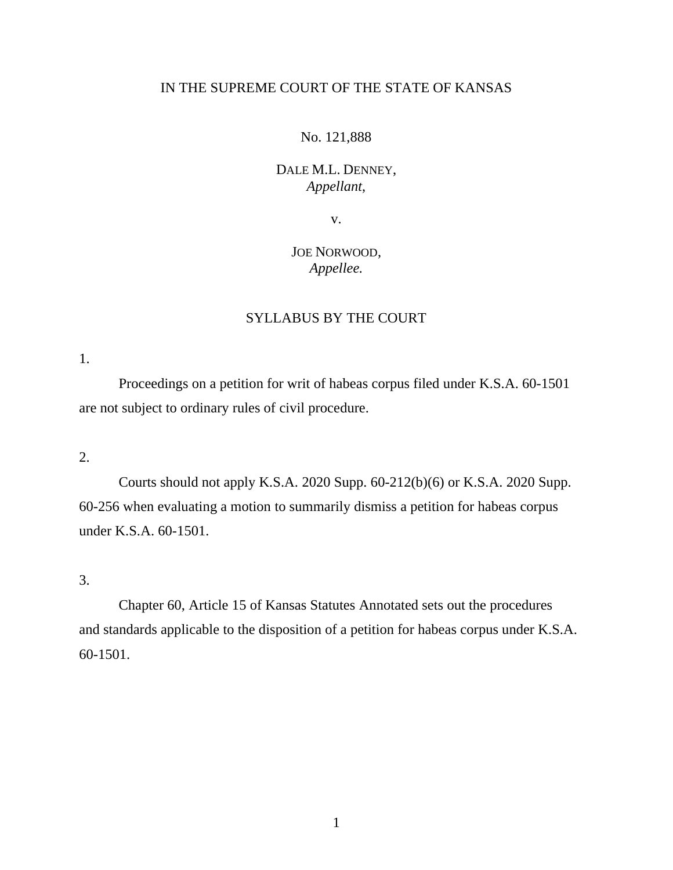## IN THE SUPREME COURT OF THE STATE OF KANSAS

## No. 121,888

## DALE M.L. DENNEY, *Appellant*,

v.

# JOE NORWOOD, *Appellee.*

## SYLLABUS BY THE COURT

1.

Proceedings on a petition for writ of habeas corpus filed under K.S.A. 60-1501 are not subject to ordinary rules of civil procedure.

#### 2.

Courts should not apply K.S.A. 2020 Supp. 60-212(b)(6) or K.S.A. 2020 Supp. 60-256 when evaluating a motion to summarily dismiss a petition for habeas corpus under K.S.A. 60-1501.

3.

Chapter 60, Article 15 of Kansas Statutes Annotated sets out the procedures and standards applicable to the disposition of a petition for habeas corpus under K.S.A. 60-1501.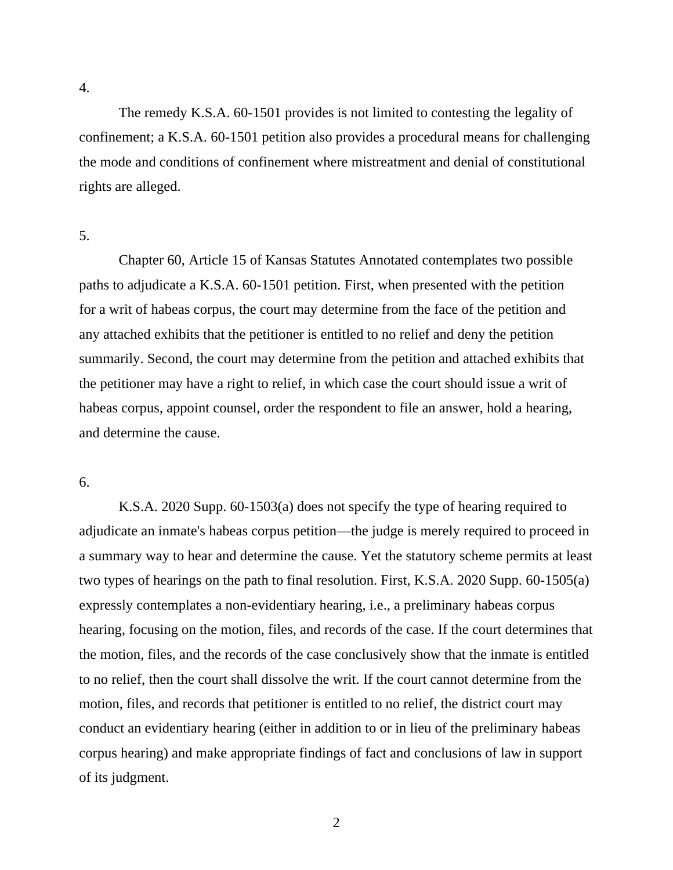4.

The remedy K.S.A. 60-1501 provides is not limited to contesting the legality of confinement; a K.S.A. 60-1501 petition also provides a procedural means for challenging the mode and conditions of confinement where mistreatment and denial of constitutional rights are alleged.

### 5.

Chapter 60, Article 15 of Kansas Statutes Annotated contemplates two possible paths to adjudicate a K.S.A. 60-1501 petition. First, when presented with the petition for a writ of habeas corpus, the court may determine from the face of the petition and any attached exhibits that the petitioner is entitled to no relief and deny the petition summarily. Second, the court may determine from the petition and attached exhibits that the petitioner may have a right to relief, in which case the court should issue a writ of habeas corpus, appoint counsel, order the respondent to file an answer, hold a hearing, and determine the cause.

#### 6.

K.S.A. 2020 Supp. 60-1503(a) does not specify the type of hearing required to adjudicate an inmate's habeas corpus petition—the judge is merely required to proceed in a summary way to hear and determine the cause. Yet the statutory scheme permits at least two types of hearings on the path to final resolution. First, K.S.A. 2020 Supp. 60-1505(a) expressly contemplates a non-evidentiary hearing, i.e., a preliminary habeas corpus hearing, focusing on the motion, files, and records of the case. If the court determines that the motion, files, and the records of the case conclusively show that the inmate is entitled to no relief, then the court shall dissolve the writ. If the court cannot determine from the motion, files, and records that petitioner is entitled to no relief, the district court may conduct an evidentiary hearing (either in addition to or in lieu of the preliminary habeas corpus hearing) and make appropriate findings of fact and conclusions of law in support of its judgment.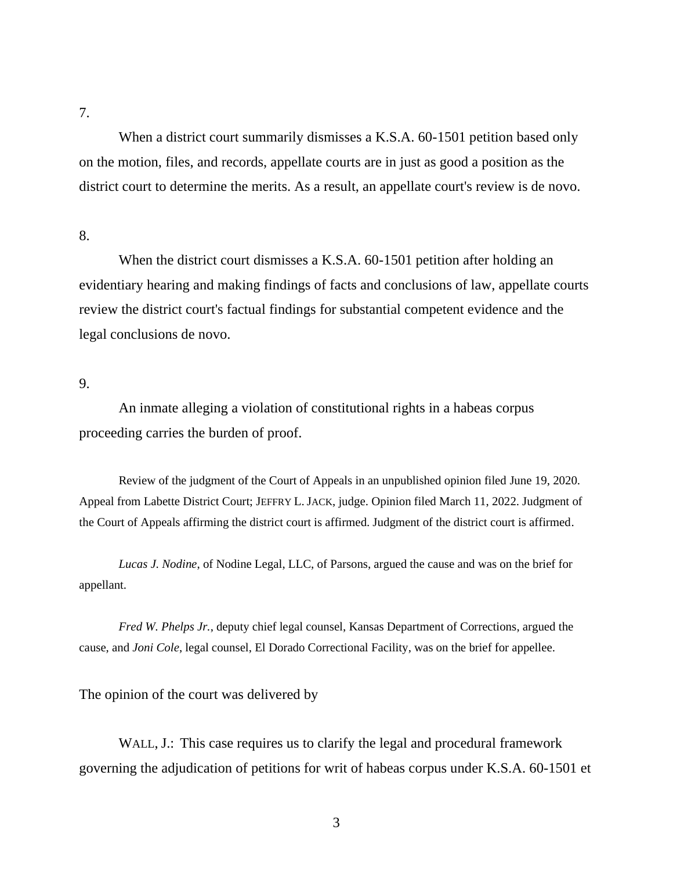7.

When a district court summarily dismisses a K.S.A. 60-1501 petition based only on the motion, files, and records, appellate courts are in just as good a position as the district court to determine the merits. As a result, an appellate court's review is de novo.

## 8.

When the district court dismisses a K.S.A. 60-1501 petition after holding an evidentiary hearing and making findings of facts and conclusions of law, appellate courts review the district court's factual findings for substantial competent evidence and the legal conclusions de novo.

## 9.

An inmate alleging a violation of constitutional rights in a habeas corpus proceeding carries the burden of proof.

Review of the judgment of the Court of Appeals in an unpublished opinion filed June 19, 2020. Appeal from Labette District Court; JEFFRY L. JACK, judge. Opinion filed March 11, 2022. Judgment of the Court of Appeals affirming the district court is affirmed. Judgment of the district court is affirmed.

*Lucas J. Nodine*, of Nodine Legal, LLC, of Parsons, argued the cause and was on the brief for appellant.

*Fred W. Phelps Jr.*, deputy chief legal counsel, Kansas Department of Corrections, argued the cause, and *Joni Cole*, legal counsel, El Dorado Correctional Facility, was on the brief for appellee.

The opinion of the court was delivered by

WALL, J.: This case requires us to clarify the legal and procedural framework governing the adjudication of petitions for writ of habeas corpus under K.S.A. 60-1501 et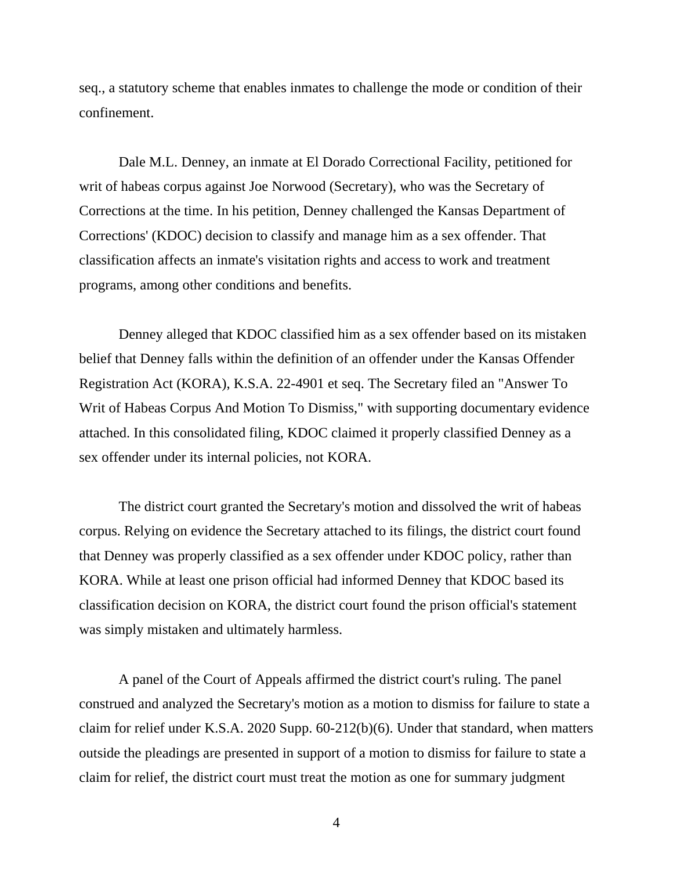seq., a statutory scheme that enables inmates to challenge the mode or condition of their confinement.

Dale M.L. Denney, an inmate at El Dorado Correctional Facility, petitioned for writ of habeas corpus against Joe Norwood (Secretary), who was the Secretary of Corrections at the time. In his petition, Denney challenged the Kansas Department of Corrections' (KDOC) decision to classify and manage him as a sex offender. That classification affects an inmate's visitation rights and access to work and treatment programs, among other conditions and benefits.

Denney alleged that KDOC classified him as a sex offender based on its mistaken belief that Denney falls within the definition of an offender under the Kansas Offender Registration Act (KORA), K.S.A. 22-4901 et seq. The Secretary filed an "Answer To Writ of Habeas Corpus And Motion To Dismiss," with supporting documentary evidence attached. In this consolidated filing, KDOC claimed it properly classified Denney as a sex offender under its internal policies, not KORA.

The district court granted the Secretary's motion and dissolved the writ of habeas corpus. Relying on evidence the Secretary attached to its filings, the district court found that Denney was properly classified as a sex offender under KDOC policy, rather than KORA. While at least one prison official had informed Denney that KDOC based its classification decision on KORA, the district court found the prison official's statement was simply mistaken and ultimately harmless.

A panel of the Court of Appeals affirmed the district court's ruling. The panel construed and analyzed the Secretary's motion as a motion to dismiss for failure to state a claim for relief under K.S.A. 2020 Supp. 60-212(b)(6). Under that standard, when matters outside the pleadings are presented in support of a motion to dismiss for failure to state a claim for relief, the district court must treat the motion as one for summary judgment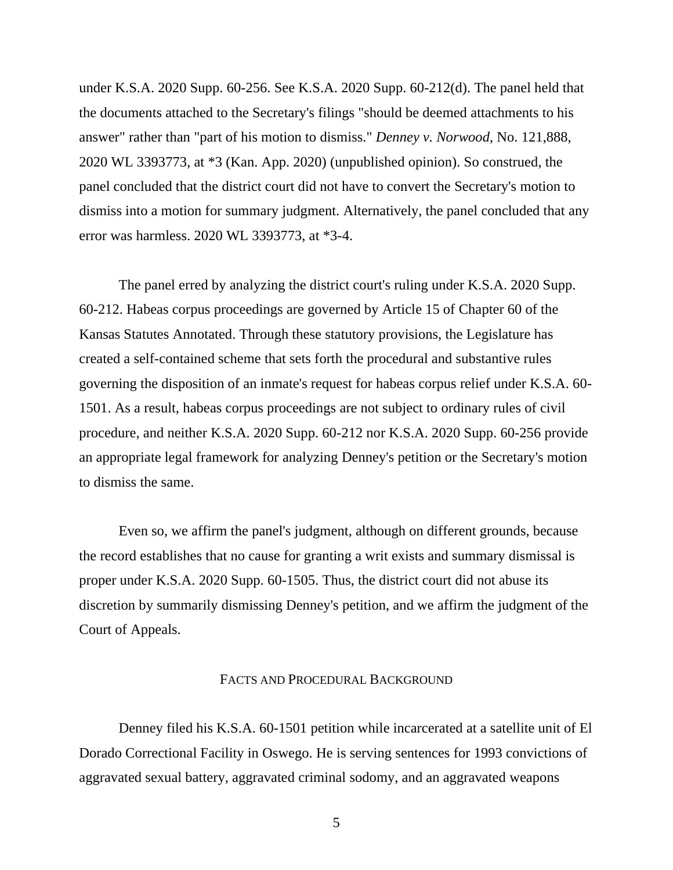under K.S.A. 2020 Supp. 60-256. See K.S.A. 2020 Supp. 60-212(d). The panel held that the documents attached to the Secretary's filings "should be deemed attachments to his answer" rather than "part of his motion to dismiss." *Denney v. Norwood*, No. 121,888, 2020 WL 3393773, at \*3 (Kan. App. 2020) (unpublished opinion). So construed, the panel concluded that the district court did not have to convert the Secretary's motion to dismiss into a motion for summary judgment. Alternatively, the panel concluded that any error was harmless. 2020 WL 3393773, at \*3-4.

The panel erred by analyzing the district court's ruling under K.S.A. 2020 Supp. 60-212. Habeas corpus proceedings are governed by Article 15 of Chapter 60 of the Kansas Statutes Annotated. Through these statutory provisions, the Legislature has created a self-contained scheme that sets forth the procedural and substantive rules governing the disposition of an inmate's request for habeas corpus relief under K.S.A. 60- 1501. As a result, habeas corpus proceedings are not subject to ordinary rules of civil procedure, and neither K.S.A. 2020 Supp. 60-212 nor K.S.A. 2020 Supp. 60-256 provide an appropriate legal framework for analyzing Denney's petition or the Secretary's motion to dismiss the same.

Even so, we affirm the panel's judgment, although on different grounds, because the record establishes that no cause for granting a writ exists and summary dismissal is proper under K.S.A. 2020 Supp. 60-1505. Thus, the district court did not abuse its discretion by summarily dismissing Denney's petition, and we affirm the judgment of the Court of Appeals.

#### FACTS AND PROCEDURAL BACKGROUND

Denney filed his K.S.A. 60-1501 petition while incarcerated at a satellite unit of El Dorado Correctional Facility in Oswego. He is serving sentences for 1993 convictions of aggravated sexual battery, aggravated criminal sodomy, and an aggravated weapons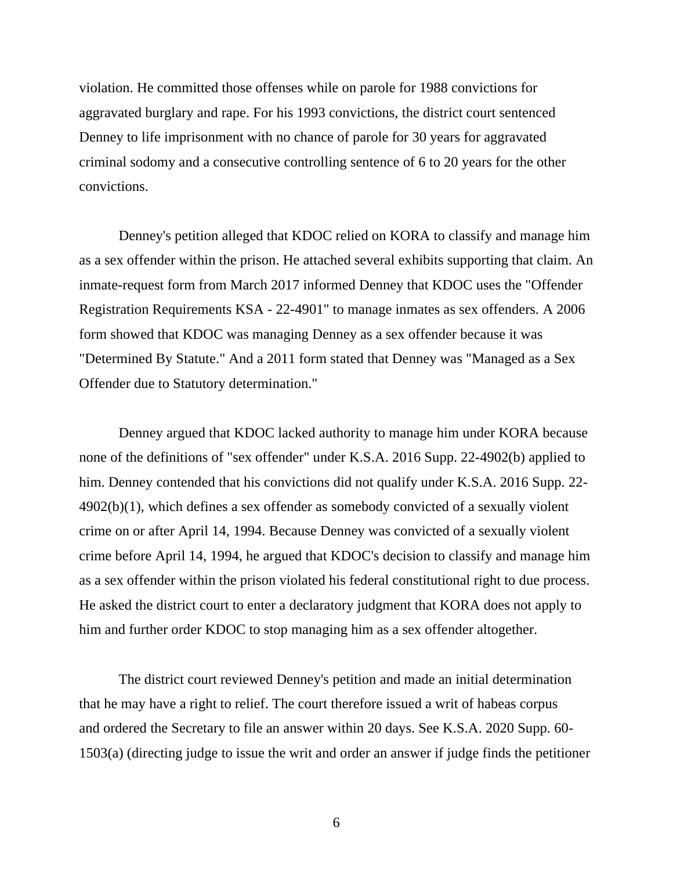violation. He committed those offenses while on parole for 1988 convictions for aggravated burglary and rape. For his 1993 convictions, the district court sentenced Denney to life imprisonment with no chance of parole for 30 years for aggravated criminal sodomy and a consecutive controlling sentence of 6 to 20 years for the other convictions.

Denney's petition alleged that KDOC relied on KORA to classify and manage him as a sex offender within the prison. He attached several exhibits supporting that claim. An inmate-request form from March 2017 informed Denney that KDOC uses the "Offender Registration Requirements KSA - 22-4901" to manage inmates as sex offenders. A 2006 form showed that KDOC was managing Denney as a sex offender because it was "Determined By Statute." And a 2011 form stated that Denney was "Managed as a Sex Offender due to Statutory determination."

Denney argued that KDOC lacked authority to manage him under KORA because none of the definitions of "sex offender" under K.S.A. 2016 Supp. 22-4902(b) applied to him. Denney contended that his convictions did not qualify under K.S.A. 2016 Supp. 22- 4902(b)(1), which defines a sex offender as somebody convicted of a sexually violent crime on or after April 14, 1994. Because Denney was convicted of a sexually violent crime before April 14, 1994, he argued that KDOC's decision to classify and manage him as a sex offender within the prison violated his federal constitutional right to due process. He asked the district court to enter a declaratory judgment that KORA does not apply to him and further order KDOC to stop managing him as a sex offender altogether.

The district court reviewed Denney's petition and made an initial determination that he may have a right to relief. The court therefore issued a writ of habeas corpus and ordered the Secretary to file an answer within 20 days. See K.S.A. 2020 Supp. 60- 1503(a) (directing judge to issue the writ and order an answer if judge finds the petitioner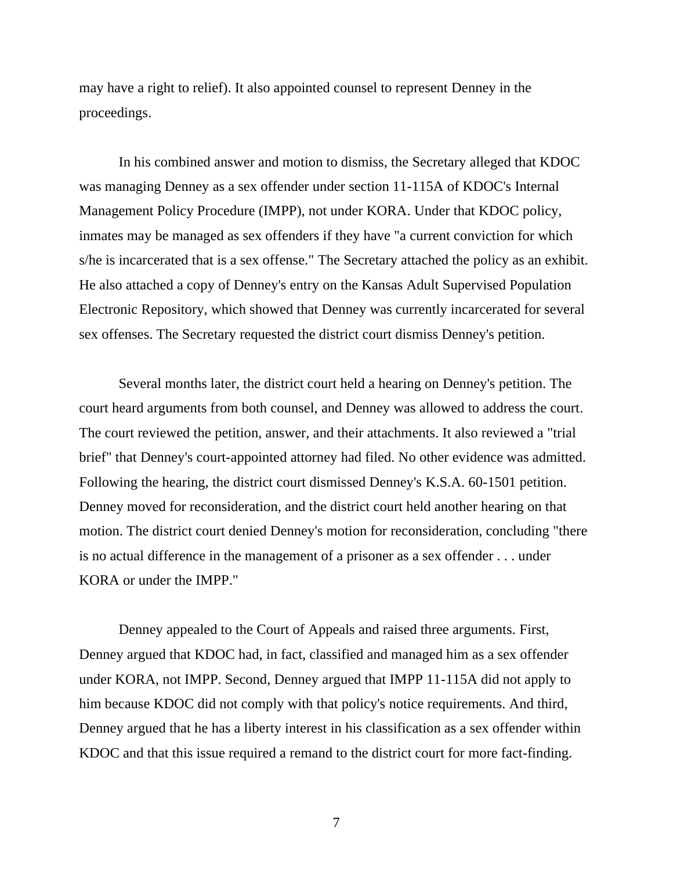may have a right to relief). It also appointed counsel to represent Denney in the proceedings.

In his combined answer and motion to dismiss, the Secretary alleged that KDOC was managing Denney as a sex offender under section 11-115A of KDOC's Internal Management Policy Procedure (IMPP), not under KORA. Under that KDOC policy, inmates may be managed as sex offenders if they have "a current conviction for which s/he is incarcerated that is a sex offense." The Secretary attached the policy as an exhibit. He also attached a copy of Denney's entry on the Kansas Adult Supervised Population Electronic Repository, which showed that Denney was currently incarcerated for several sex offenses. The Secretary requested the district court dismiss Denney's petition.

Several months later, the district court held a hearing on Denney's petition. The court heard arguments from both counsel, and Denney was allowed to address the court. The court reviewed the petition, answer, and their attachments. It also reviewed a "trial brief" that Denney's court-appointed attorney had filed. No other evidence was admitted. Following the hearing, the district court dismissed Denney's K.S.A. 60-1501 petition. Denney moved for reconsideration, and the district court held another hearing on that motion. The district court denied Denney's motion for reconsideration, concluding "there is no actual difference in the management of a prisoner as a sex offender . . . under KORA or under the IMPP."

Denney appealed to the Court of Appeals and raised three arguments. First, Denney argued that KDOC had, in fact, classified and managed him as a sex offender under KORA, not IMPP. Second, Denney argued that IMPP 11-115A did not apply to him because KDOC did not comply with that policy's notice requirements. And third, Denney argued that he has a liberty interest in his classification as a sex offender within KDOC and that this issue required a remand to the district court for more fact-finding.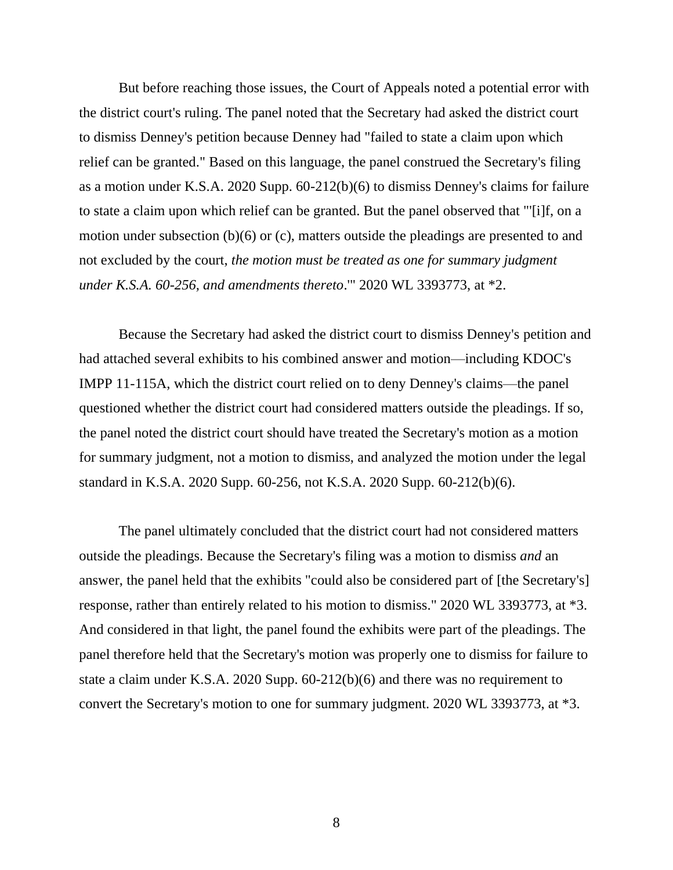But before reaching those issues, the Court of Appeals noted a potential error with the district court's ruling. The panel noted that the Secretary had asked the district court to dismiss Denney's petition because Denney had "failed to state a claim upon which relief can be granted." Based on this language, the panel construed the Secretary's filing as a motion under K.S.A. 2020 Supp. 60-212(b)(6) to dismiss Denney's claims for failure to state a claim upon which relief can be granted. But the panel observed that "'[i]f, on a motion under subsection (b)(6) or (c), matters outside the pleadings are presented to and not excluded by the court, *the motion must be treated as one for summary judgment under K.S.A. 60-256, and amendments thereto*.'" 2020 WL 3393773, at \*2.

Because the Secretary had asked the district court to dismiss Denney's petition and had attached several exhibits to his combined answer and motion—including KDOC's IMPP 11-115A, which the district court relied on to deny Denney's claims—the panel questioned whether the district court had considered matters outside the pleadings. If so, the panel noted the district court should have treated the Secretary's motion as a motion for summary judgment, not a motion to dismiss, and analyzed the motion under the legal standard in K.S.A. 2020 Supp. 60-256, not K.S.A. 2020 Supp. 60-212(b)(6).

The panel ultimately concluded that the district court had not considered matters outside the pleadings. Because the Secretary's filing was a motion to dismiss *and* an answer, the panel held that the exhibits "could also be considered part of [the Secretary's] response, rather than entirely related to his motion to dismiss." 2020 WL 3393773, at \*3. And considered in that light, the panel found the exhibits were part of the pleadings. The panel therefore held that the Secretary's motion was properly one to dismiss for failure to state a claim under K.S.A. 2020 Supp. 60-212(b)(6) and there was no requirement to convert the Secretary's motion to one for summary judgment. 2020 WL 3393773, at \*3.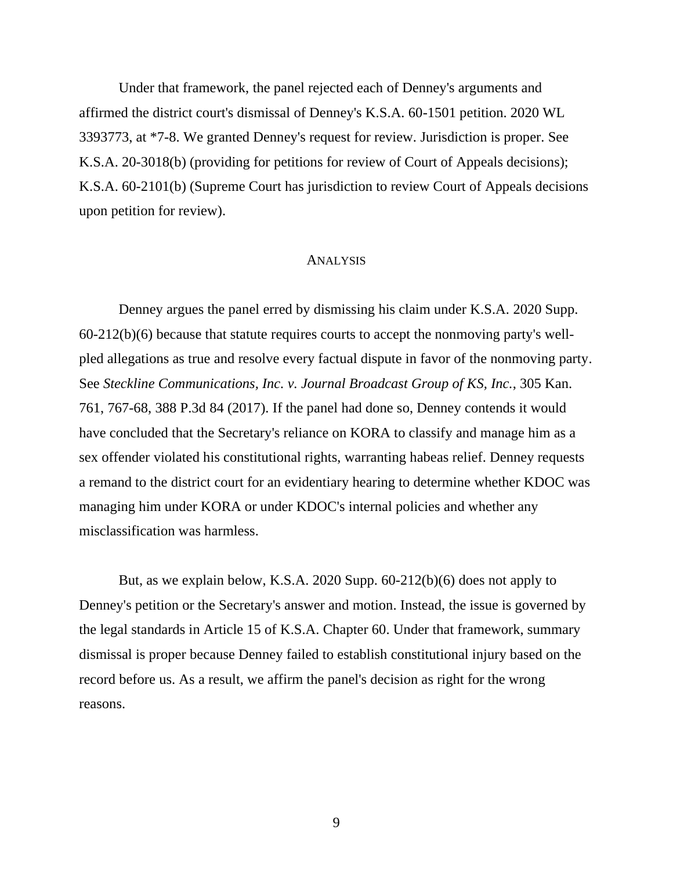Under that framework, the panel rejected each of Denney's arguments and affirmed the district court's dismissal of Denney's K.S.A. 60-1501 petition. 2020 WL 3393773, at \*7-8. We granted Denney's request for review. Jurisdiction is proper. See K.S.A. 20-3018(b) (providing for petitions for review of Court of Appeals decisions); K.S.A. 60-2101(b) (Supreme Court has jurisdiction to review Court of Appeals decisions upon petition for review).

#### ANALYSIS

Denney argues the panel erred by dismissing his claim under K.S.A. 2020 Supp. 60-212(b)(6) because that statute requires courts to accept the nonmoving party's wellpled allegations as true and resolve every factual dispute in favor of the nonmoving party. See *Steckline Communications, Inc. v. Journal Broadcast Group of KS, Inc.*, 305 Kan. 761, 767-68, 388 P.3d 84 (2017). If the panel had done so, Denney contends it would have concluded that the Secretary's reliance on KORA to classify and manage him as a sex offender violated his constitutional rights, warranting habeas relief. Denney requests a remand to the district court for an evidentiary hearing to determine whether KDOC was managing him under KORA or under KDOC's internal policies and whether any misclassification was harmless.

But, as we explain below, K.S.A. 2020 Supp. 60-212(b)(6) does not apply to Denney's petition or the Secretary's answer and motion. Instead, the issue is governed by the legal standards in Article 15 of K.S.A. Chapter 60. Under that framework, summary dismissal is proper because Denney failed to establish constitutional injury based on the record before us. As a result, we affirm the panel's decision as right for the wrong reasons.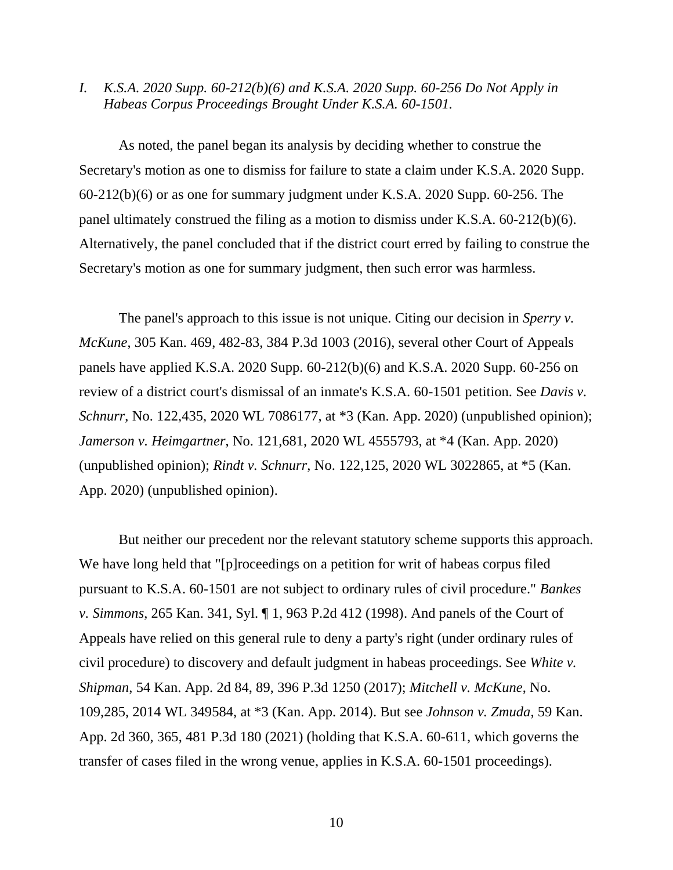*I. K.S.A. 2020 Supp. 60-212(b)(6) and K.S.A. 2020 Supp. 60-256 Do Not Apply in Habeas Corpus Proceedings Brought Under K.S.A. 60-1501.*

As noted, the panel began its analysis by deciding whether to construe the Secretary's motion as one to dismiss for failure to state a claim under K.S.A. 2020 Supp. 60-212(b)(6) or as one for summary judgment under K.S.A. 2020 Supp. 60-256. The panel ultimately construed the filing as a motion to dismiss under K.S.A. 60-212(b)(6). Alternatively, the panel concluded that if the district court erred by failing to construe the Secretary's motion as one for summary judgment, then such error was harmless.

The panel's approach to this issue is not unique. Citing our decision in *Sperry v. McKune*, 305 Kan. 469, 482-83, 384 P.3d 1003 (2016), several other Court of Appeals panels have applied K.S.A. 2020 Supp. 60-212(b)(6) and K.S.A. 2020 Supp. 60-256 on review of a district court's dismissal of an inmate's K.S.A. 60-1501 petition. See *Davis v. Schnurr*, No. 122,435, 2020 WL 7086177, at \*3 (Kan. App. 2020) (unpublished opinion); *Jamerson v. Heimgartner*, No. 121,681, 2020 WL 4555793, at \*4 (Kan. App. 2020) (unpublished opinion); *Rindt v. Schnurr*, No. 122,125, 2020 WL 3022865, at \*5 (Kan. App. 2020) (unpublished opinion).

But neither our precedent nor the relevant statutory scheme supports this approach. We have long held that "[p]roceedings on a petition for writ of habeas corpus filed pursuant to K.S.A. 60-1501 are not subject to ordinary rules of civil procedure." *Bankes v. Simmons*, 265 Kan. 341, Syl. ¶ 1, 963 P.2d 412 (1998). And panels of the Court of Appeals have relied on this general rule to deny a party's right (under ordinary rules of civil procedure) to discovery and default judgment in habeas proceedings. See *White v. Shipman*, 54 Kan. App. 2d 84, 89, 396 P.3d 1250 (2017); *Mitchell v. McKune*, No. 109,285, 2014 WL 349584, at \*3 (Kan. App. 2014). But see *Johnson v. Zmuda*, 59 Kan. App. 2d 360, 365, 481 P.3d 180 (2021) (holding that K.S.A. 60-611, which governs the transfer of cases filed in the wrong venue, applies in K.S.A. 60-1501 proceedings).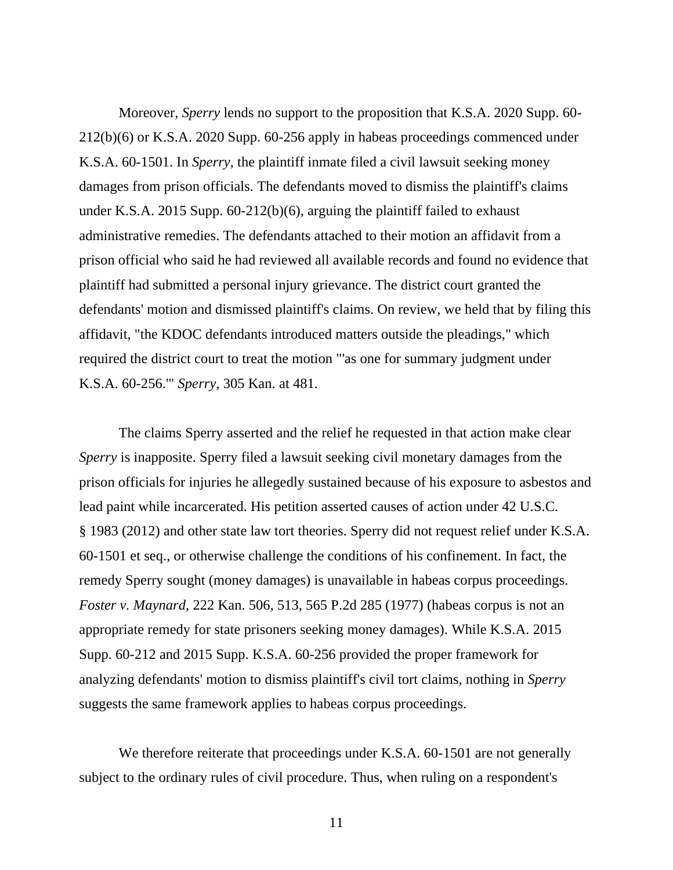Moreover, *Sperry* lends no support to the proposition that K.S.A. 2020 Supp. 60- 212(b)(6) or K.S.A. 2020 Supp. 60-256 apply in habeas proceedings commenced under K.S.A. 60-1501. In *Sperry*, the plaintiff inmate filed a civil lawsuit seeking money damages from prison officials. The defendants moved to dismiss the plaintiff's claims under K.S.A. 2015 Supp. 60-212(b)(6), arguing the plaintiff failed to exhaust administrative remedies. The defendants attached to their motion an affidavit from a prison official who said he had reviewed all available records and found no evidence that plaintiff had submitted a personal injury grievance. The district court granted the defendants' motion and dismissed plaintiff's claims. On review, we held that by filing this affidavit, "the KDOC defendants introduced matters outside the pleadings," which required the district court to treat the motion "'as one for summary judgment under K.S.A. 60-256.'" *Sperry*, 305 Kan. at 481.

The claims Sperry asserted and the relief he requested in that action make clear *Sperry* is inapposite. Sperry filed a lawsuit seeking civil monetary damages from the prison officials for injuries he allegedly sustained because of his exposure to asbestos and lead paint while incarcerated. His petition asserted causes of action under 42 U.S.C. § 1983 (2012) and other state law tort theories. Sperry did not request relief under K.S.A. 60-1501 et seq., or otherwise challenge the conditions of his confinement. In fact, the remedy Sperry sought (money damages) is unavailable in habeas corpus proceedings. *Foster v. Maynard*, 222 Kan. 506, 513, 565 P.2d 285 (1977) (habeas corpus is not an appropriate remedy for state prisoners seeking money damages). While K.S.A. 2015 Supp. 60-212 and 2015 Supp. K.S.A. 60-256 provided the proper framework for analyzing defendants' motion to dismiss plaintiff's civil tort claims, nothing in *Sperry* suggests the same framework applies to habeas corpus proceedings.

We therefore reiterate that proceedings under K.S.A. 60-1501 are not generally subject to the ordinary rules of civil procedure. Thus, when ruling on a respondent's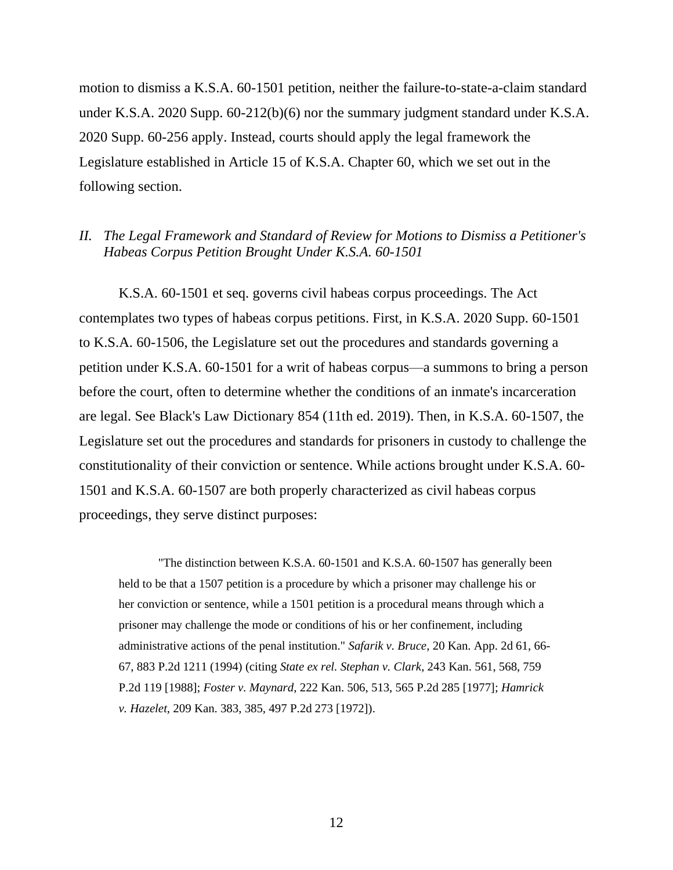motion to dismiss a K.S.A. 60-1501 petition, neither the failure-to-state-a-claim standard under K.S.A. 2020 Supp. 60-212(b)(6) nor the summary judgment standard under K.S.A. 2020 Supp. 60-256 apply. Instead, courts should apply the legal framework the Legislature established in Article 15 of K.S.A. Chapter 60, which we set out in the following section.

## *II. The Legal Framework and Standard of Review for Motions to Dismiss a Petitioner's Habeas Corpus Petition Brought Under K.S.A. 60-1501*

K.S.A. 60-1501 et seq. governs civil habeas corpus proceedings. The Act contemplates two types of habeas corpus petitions. First, in K.S.A. 2020 Supp. 60-1501 to K.S.A. 60-1506, the Legislature set out the procedures and standards governing a petition under K.S.A. 60-1501 for a writ of habeas corpus—a summons to bring a person before the court, often to determine whether the conditions of an inmate's incarceration are legal. See Black's Law Dictionary 854 (11th ed. 2019). Then, in K.S.A. 60-1507, the Legislature set out the procedures and standards for prisoners in custody to challenge the constitutionality of their conviction or sentence. While actions brought under K.S.A. 60- 1501 and K.S.A. 60-1507 are both properly characterized as civil habeas corpus proceedings, they serve distinct purposes:

"The distinction between K.S.A. 60-1501 and K.S.A. 60-1507 has generally been held to be that a 1507 petition is a procedure by which a prisoner may challenge his or her conviction or sentence, while a 1501 petition is a procedural means through which a prisoner may challenge the mode or conditions of his or her confinement, including administrative actions of the penal institution." *Safarik v. Bruce*, 20 Kan. App. 2d 61, 66- 67, 883 P.2d 1211 (1994) (citing *State ex rel. Stephan v. Clark*, 243 Kan. 561, 568, 759 P.2d 119 [1988]; *Foster v. Maynard*, 222 Kan. 506, 513, 565 P.2d 285 [1977]; *Hamrick v. Hazelet*, 209 Kan. 383, 385, 497 P.2d 273 [1972]).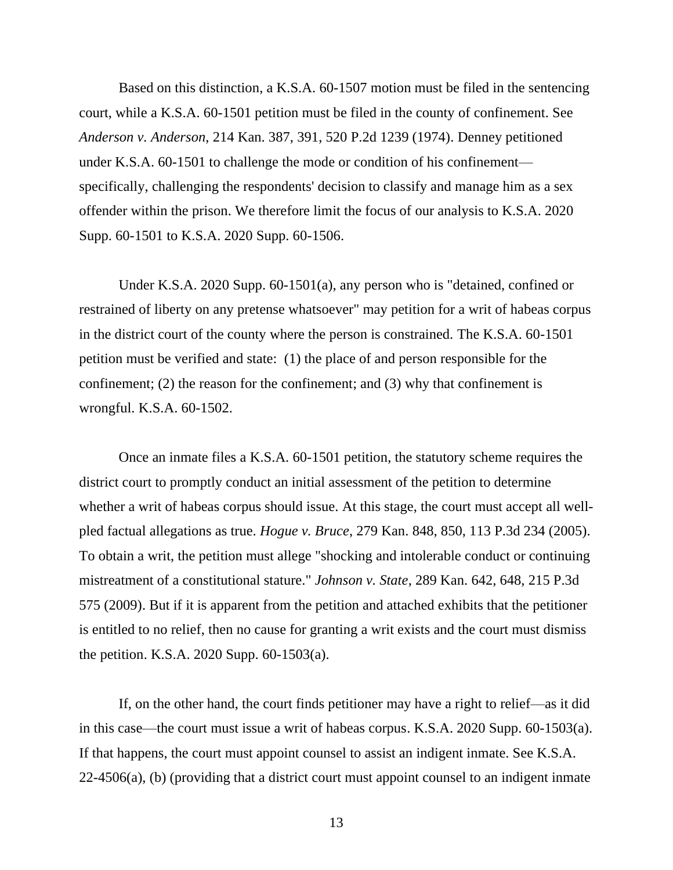Based on this distinction, a K.S.A. 60-1507 motion must be filed in the sentencing court, while a K.S.A. 60-1501 petition must be filed in the county of confinement. See *Anderson v. Anderson*, 214 Kan. 387, 391, 520 P.2d 1239 (1974). Denney petitioned under K.S.A. 60-1501 to challenge the mode or condition of his confinement specifically, challenging the respondents' decision to classify and manage him as a sex offender within the prison. We therefore limit the focus of our analysis to K.S.A. 2020 Supp. 60-1501 to K.S.A. 2020 Supp. 60-1506.

Under K.S.A. 2020 Supp. 60-1501(a), any person who is "detained, confined or restrained of liberty on any pretense whatsoever" may petition for a writ of habeas corpus in the district court of the county where the person is constrained. The K.S.A. 60-1501 petition must be verified and state: (1) the place of and person responsible for the confinement; (2) the reason for the confinement; and (3) why that confinement is wrongful. K.S.A. 60-1502.

Once an inmate files a K.S.A. 60-1501 petition, the statutory scheme requires the district court to promptly conduct an initial assessment of the petition to determine whether a writ of habeas corpus should issue. At this stage, the court must accept all wellpled factual allegations as true. *Hogue v. Bruce*, 279 Kan. 848, 850, 113 P.3d 234 (2005). To obtain a writ, the petition must allege "shocking and intolerable conduct or continuing mistreatment of a constitutional stature." *Johnson v. State*, 289 Kan. 642, 648, 215 P.3d 575 (2009). But if it is apparent from the petition and attached exhibits that the petitioner is entitled to no relief, then no cause for granting a writ exists and the court must dismiss the petition. K.S.A. 2020 Supp. 60-1503(a).

If, on the other hand, the court finds petitioner may have a right to relief—as it did in this case—the court must issue a writ of habeas corpus. K.S.A. 2020 Supp. 60-1503(a). If that happens, the court must appoint counsel to assist an indigent inmate. See K.S.A. 22-4506(a), (b) (providing that a district court must appoint counsel to an indigent inmate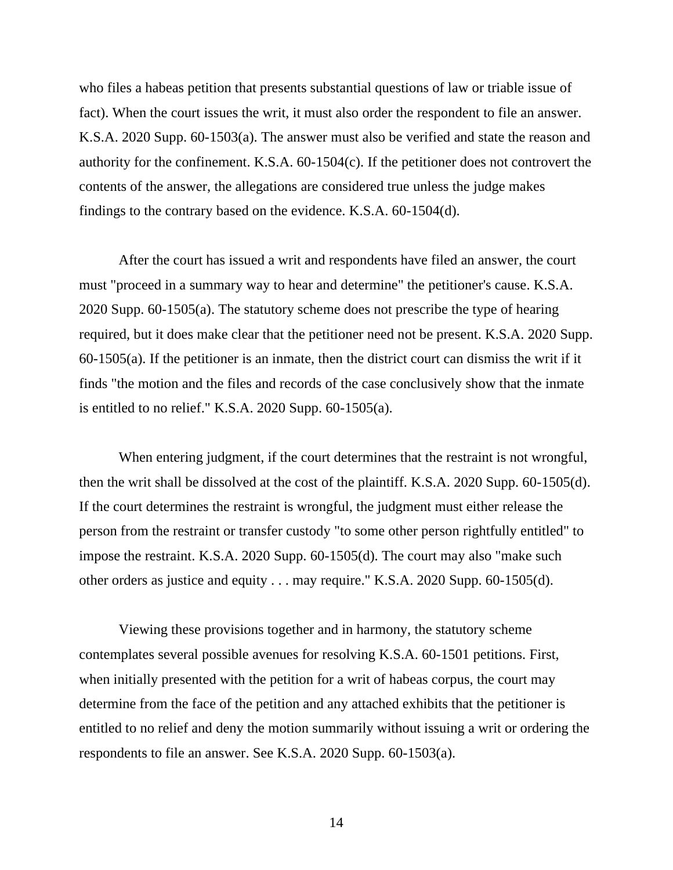who files a habeas petition that presents substantial questions of law or triable issue of fact). When the court issues the writ, it must also order the respondent to file an answer. K.S.A. 2020 Supp. 60-1503(a). The answer must also be verified and state the reason and authority for the confinement. K.S.A. 60-1504(c). If the petitioner does not controvert the contents of the answer, the allegations are considered true unless the judge makes findings to the contrary based on the evidence. K.S.A. 60-1504(d).

After the court has issued a writ and respondents have filed an answer, the court must "proceed in a summary way to hear and determine" the petitioner's cause. K.S.A. 2020 Supp. 60-1505(a). The statutory scheme does not prescribe the type of hearing required, but it does make clear that the petitioner need not be present. K.S.A. 2020 Supp. 60-1505(a). If the petitioner is an inmate, then the district court can dismiss the writ if it finds "the motion and the files and records of the case conclusively show that the inmate is entitled to no relief." K.S.A. 2020 Supp. 60-1505(a).

When entering judgment, if the court determines that the restraint is not wrongful, then the writ shall be dissolved at the cost of the plaintiff. K.S.A. 2020 Supp. 60-1505(d). If the court determines the restraint is wrongful, the judgment must either release the person from the restraint or transfer custody "to some other person rightfully entitled" to impose the restraint. K.S.A. 2020 Supp. 60-1505(d). The court may also "make such other orders as justice and equity . . . may require." K.S.A. 2020 Supp. 60-1505(d).

Viewing these provisions together and in harmony, the statutory scheme contemplates several possible avenues for resolving K.S.A. 60-1501 petitions. First, when initially presented with the petition for a writ of habeas corpus, the court may determine from the face of the petition and any attached exhibits that the petitioner is entitled to no relief and deny the motion summarily without issuing a writ or ordering the respondents to file an answer. See K.S.A. 2020 Supp. 60-1503(a).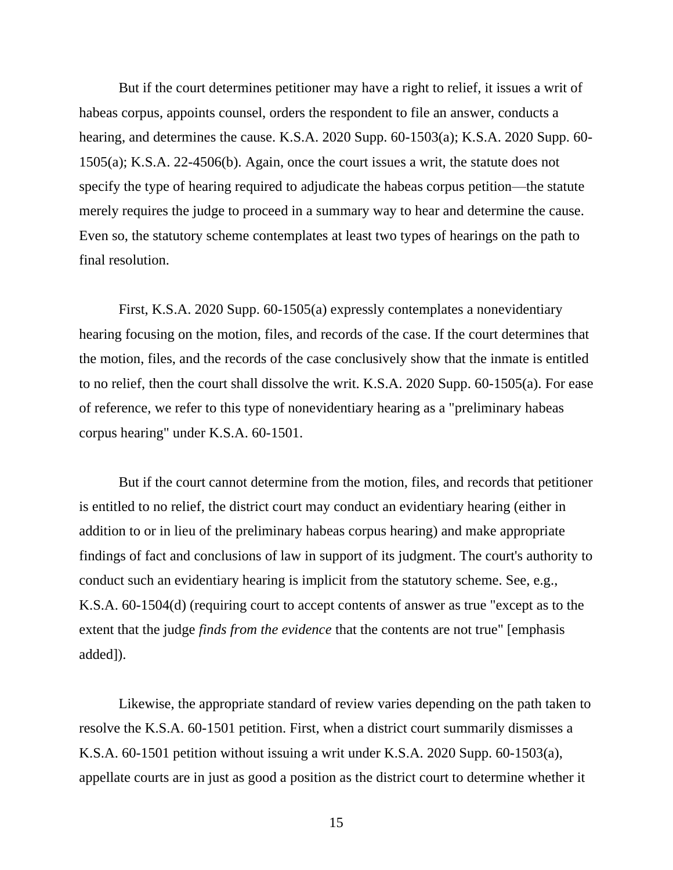But if the court determines petitioner may have a right to relief, it issues a writ of habeas corpus, appoints counsel, orders the respondent to file an answer, conducts a hearing, and determines the cause. K.S.A. 2020 Supp. 60-1503(a); K.S.A. 2020 Supp. 60- 1505(a); K.S.A. 22-4506(b). Again, once the court issues a writ, the statute does not specify the type of hearing required to adjudicate the habeas corpus petition—the statute merely requires the judge to proceed in a summary way to hear and determine the cause. Even so, the statutory scheme contemplates at least two types of hearings on the path to final resolution.

First, K.S.A. 2020 Supp. 60-1505(a) expressly contemplates a nonevidentiary hearing focusing on the motion, files, and records of the case. If the court determines that the motion, files, and the records of the case conclusively show that the inmate is entitled to no relief, then the court shall dissolve the writ. K.S.A. 2020 Supp. 60-1505(a). For ease of reference, we refer to this type of nonevidentiary hearing as a "preliminary habeas corpus hearing" under K.S.A. 60-1501.

But if the court cannot determine from the motion, files, and records that petitioner is entitled to no relief, the district court may conduct an evidentiary hearing (either in addition to or in lieu of the preliminary habeas corpus hearing) and make appropriate findings of fact and conclusions of law in support of its judgment. The court's authority to conduct such an evidentiary hearing is implicit from the statutory scheme. See, e.g., K.S.A. 60-1504(d) (requiring court to accept contents of answer as true "except as to the extent that the judge *finds from the evidence* that the contents are not true" [emphasis added]).

Likewise, the appropriate standard of review varies depending on the path taken to resolve the K.S.A. 60-1501 petition. First, when a district court summarily dismisses a K.S.A. 60-1501 petition without issuing a writ under K.S.A. 2020 Supp. 60-1503(a), appellate courts are in just as good a position as the district court to determine whether it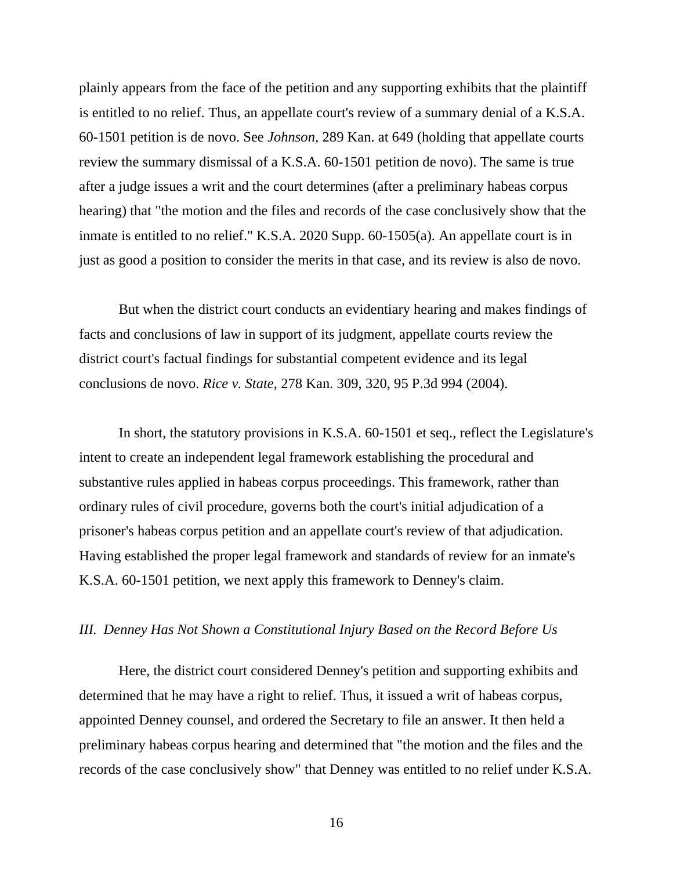plainly appears from the face of the petition and any supporting exhibits that the plaintiff is entitled to no relief. Thus, an appellate court's review of a summary denial of a K.S.A. 60-1501 petition is de novo. See *Johnson,* 289 Kan. at 649 (holding that appellate courts review the summary dismissal of a K.S.A. 60-1501 petition de novo). The same is true after a judge issues a writ and the court determines (after a preliminary habeas corpus hearing) that "the motion and the files and records of the case conclusively show that the inmate is entitled to no relief." K.S.A. 2020 Supp. 60-1505(a). An appellate court is in just as good a position to consider the merits in that case, and its review is also de novo.

But when the district court conducts an evidentiary hearing and makes findings of facts and conclusions of law in support of its judgment, appellate courts review the district court's factual findings for substantial competent evidence and its legal conclusions de novo. *Rice v. State*, 278 Kan. 309, 320, 95 P.3d 994 (2004).

In short, the statutory provisions in K.S.A. 60-1501 et seq., reflect the Legislature's intent to create an independent legal framework establishing the procedural and substantive rules applied in habeas corpus proceedings. This framework, rather than ordinary rules of civil procedure, governs both the court's initial adjudication of a prisoner's habeas corpus petition and an appellate court's review of that adjudication. Having established the proper legal framework and standards of review for an inmate's K.S.A. 60-1501 petition, we next apply this framework to Denney's claim.

#### *III. Denney Has Not Shown a Constitutional Injury Based on the Record Before Us*

Here, the district court considered Denney's petition and supporting exhibits and determined that he may have a right to relief. Thus, it issued a writ of habeas corpus, appointed Denney counsel, and ordered the Secretary to file an answer. It then held a preliminary habeas corpus hearing and determined that "the motion and the files and the records of the case conclusively show" that Denney was entitled to no relief under K.S.A.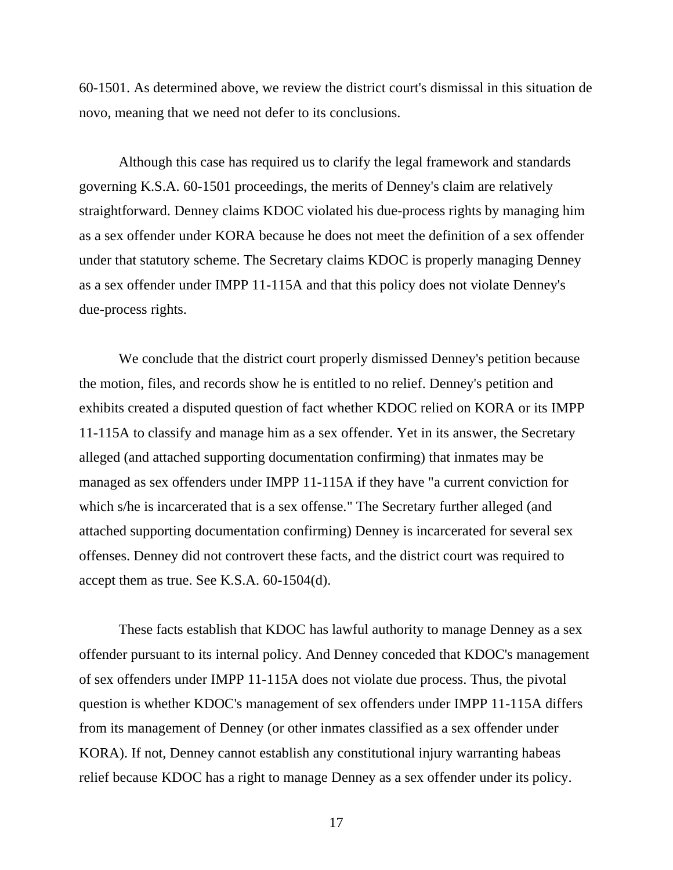60-1501. As determined above, we review the district court's dismissal in this situation de novo, meaning that we need not defer to its conclusions.

Although this case has required us to clarify the legal framework and standards governing K.S.A. 60-1501 proceedings, the merits of Denney's claim are relatively straightforward. Denney claims KDOC violated his due-process rights by managing him as a sex offender under KORA because he does not meet the definition of a sex offender under that statutory scheme. The Secretary claims KDOC is properly managing Denney as a sex offender under IMPP 11-115A and that this policy does not violate Denney's due-process rights.

We conclude that the district court properly dismissed Denney's petition because the motion, files, and records show he is entitled to no relief. Denney's petition and exhibits created a disputed question of fact whether KDOC relied on KORA or its IMPP 11-115A to classify and manage him as a sex offender. Yet in its answer, the Secretary alleged (and attached supporting documentation confirming) that inmates may be managed as sex offenders under IMPP 11-115A if they have "a current conviction for which s/he is incarcerated that is a sex offense." The Secretary further alleged (and attached supporting documentation confirming) Denney is incarcerated for several sex offenses. Denney did not controvert these facts, and the district court was required to accept them as true. See K.S.A. 60-1504(d).

These facts establish that KDOC has lawful authority to manage Denney as a sex offender pursuant to its internal policy. And Denney conceded that KDOC's management of sex offenders under IMPP 11-115A does not violate due process. Thus, the pivotal question is whether KDOC's management of sex offenders under IMPP 11-115A differs from its management of Denney (or other inmates classified as a sex offender under KORA). If not, Denney cannot establish any constitutional injury warranting habeas relief because KDOC has a right to manage Denney as a sex offender under its policy.